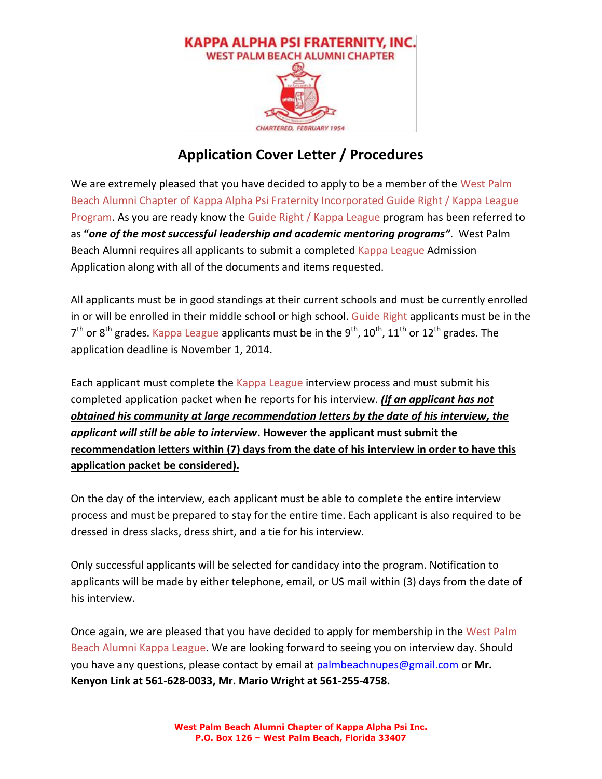

# **Application Cover Letter / Procedures**

We are extremely pleased that you have decided to apply to be a member of the West Palm Beach Alumni Chapter of Kappa Alpha Psi Fraternity Incorporated Guide Right / Kappa League Program. As you are ready know the Guide Right / Kappa League program has been referred to as **"***one of the most successful leadership and academic mentoring programs"*. West Palm Beach Alumni requires all applicants to submit a completed Kappa League Admission Application along with all of the documents and items requested.

All applicants must be in good standings at their current schools and must be currently enrolled in or will be enrolled in their middle school or high school. Guide Right applicants must be in the  $7<sup>th</sup>$  or 8<sup>th</sup> grades. Kappa League applicants must be in the 9<sup>th</sup>, 10<sup>th</sup>, 11<sup>th</sup> or 12<sup>th</sup> grades. The application deadline is November 1, 2014.

Each applicant must complete the Kappa League interview process and must submit his completed application packet when he reports for his interview. *(if an applicant has not obtained his community at large recommendation letters by the date of his interview, the applicant will still be able to interview***. However the applicant must submit the recommendation letters within (7) days from the date of his interview in order to have this application packet be considered).**

On the day of the interview, each applicant must be able to complete the entire interview process and must be prepared to stay for the entire time. Each applicant is also required to be dressed in dress slacks, dress shirt, and a tie for his interview.

Only successful applicants will be selected for candidacy into the program. Notification to applicants will be made by either telephone, email, or US mail within (3) days from the date of his interview.

Once again, we are pleased that you have decided to apply for membership in the West Palm Beach Alumni Kappa League. We are looking forward to seeing you on interview day. Should you have any questions, please contact by email at [palmbeachnupes@gmail.com](mailto:palmbeachnupes@gmail.com) or **Mr. Kenyon Link at 561-628-0033, Mr. Mario Wright at 561-255-4758.**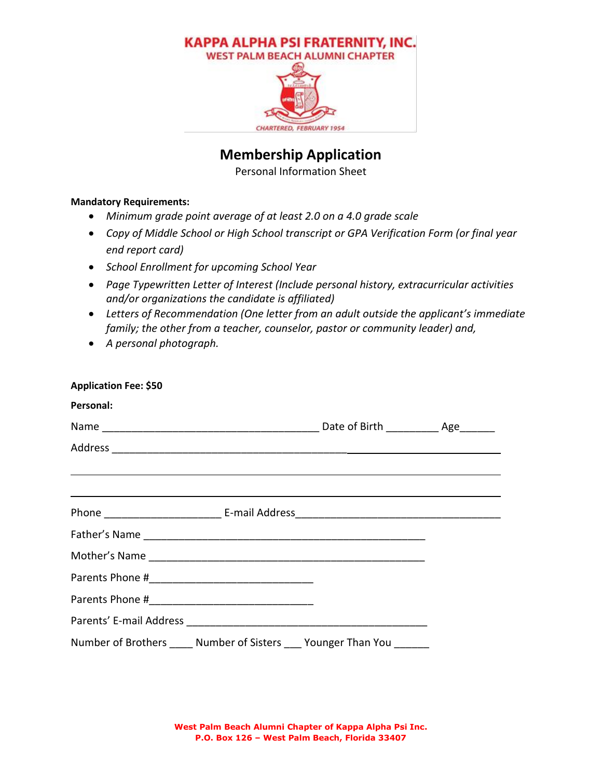

## **Membership Application**

Personal Information Sheet

#### **Mandatory Requirements:**

- *Minimum grade point average of at least 2.0 on a 4.0 grade scale*
- *Copy of Middle School or High School transcript or GPA Verification Form (or final year end report card)*
- *School Enrollment for upcoming School Year*
- *Page Typewritten Letter of Interest (Include personal history, extracurricular activities and/or organizations the candidate is affiliated)*
- *Letters of Recommendation (One letter from an adult outside the applicant's immediate family; the other from a teacher, counselor, pastor or community leader) and,*
- *A personal photograph.*

| <b>Application Fee: \$50</b>                                                                                                                                                                                                         |  |  |
|--------------------------------------------------------------------------------------------------------------------------------------------------------------------------------------------------------------------------------------|--|--|
| Personal:                                                                                                                                                                                                                            |  |  |
|                                                                                                                                                                                                                                      |  |  |
|                                                                                                                                                                                                                                      |  |  |
| <u>and the contract of the contract of the contract of the contract of the contract of the contract of the contract of the contract of the contract of the contract of the contract of the contract of the contract of the contr</u> |  |  |
| ,我们也不会有什么。""我们的人,我们也不会有什么?""我们的人,我们也不会有什么?""我们的人,我们也不会有什么?""我们的人,我们也不会有什么?""我们的人                                                                                                                                                     |  |  |
|                                                                                                                                                                                                                                      |  |  |
|                                                                                                                                                                                                                                      |  |  |
|                                                                                                                                                                                                                                      |  |  |
|                                                                                                                                                                                                                                      |  |  |
|                                                                                                                                                                                                                                      |  |  |
|                                                                                                                                                                                                                                      |  |  |
| Number of Brothers _____ Number of Sisters ____ Younger Than You _______                                                                                                                                                             |  |  |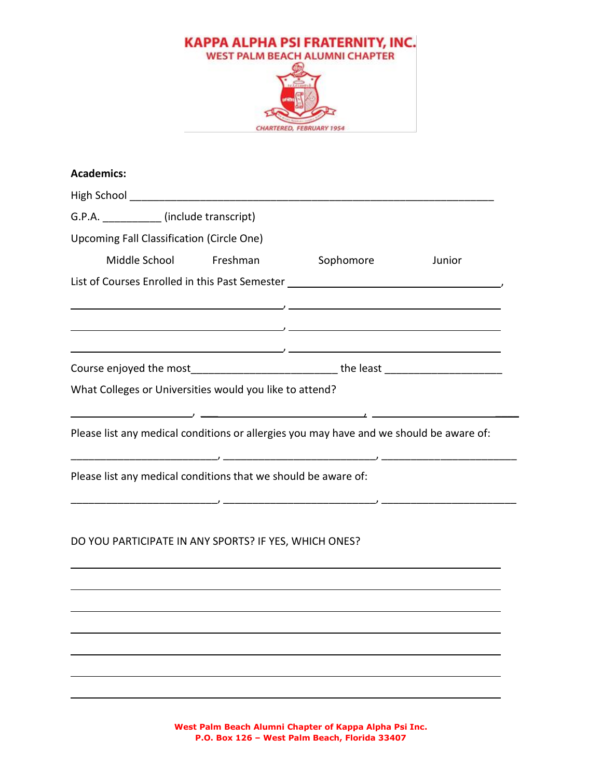

| <b>Academics:</b>                                                                       |                        |                                                                                                                                                                                                                                                                                                                                                                                                                                                                              |        |
|-----------------------------------------------------------------------------------------|------------------------|------------------------------------------------------------------------------------------------------------------------------------------------------------------------------------------------------------------------------------------------------------------------------------------------------------------------------------------------------------------------------------------------------------------------------------------------------------------------------|--------|
|                                                                                         |                        |                                                                                                                                                                                                                                                                                                                                                                                                                                                                              |        |
| G.P.A. (include transcript)                                                             |                        |                                                                                                                                                                                                                                                                                                                                                                                                                                                                              |        |
| <b>Upcoming Fall Classification (Circle One)</b>                                        |                        |                                                                                                                                                                                                                                                                                                                                                                                                                                                                              |        |
|                                                                                         | Middle School Freshman | Sophomore                                                                                                                                                                                                                                                                                                                                                                                                                                                                    | Junior |
| List of Courses Enrolled in this Past Semester __________________________________       |                        |                                                                                                                                                                                                                                                                                                                                                                                                                                                                              |        |
|                                                                                         |                        | <u> 1989 - Andrea State Andrea State Andrea State Andrea State Andrea State Andrea State Andrea State Andrea State Andrea State Andrea State Andrea State Andrea State Andrea State Andrea State Andrea State Andrea State Andre</u><br><u> 1989 - Andrea State Andrea State Andrea State Andrea State Andrea State Andrea State Andrea State Andrea State Andrea State Andrea State Andrea State Andrea State Andrea State Andrea State Andrea State Andrea State Andre</u> |        |
| Course enjoyed the most________________________________the least ______________________ |                        |                                                                                                                                                                                                                                                                                                                                                                                                                                                                              |        |
| What Colleges or Universities would you like to attend?                                 |                        | $\overline{\phantom{a}}$ , and the contract of the contract of the contract of $\overline{\phantom{a}}$ , and $\overline{\phantom{a}}$ , and $\overline{\phantom{a}}$                                                                                                                                                                                                                                                                                                        |        |
| Please list any medical conditions or allergies you may have and we should be aware of: |                        |                                                                                                                                                                                                                                                                                                                                                                                                                                                                              |        |
| Please list any medical conditions that we should be aware of:                          |                        |                                                                                                                                                                                                                                                                                                                                                                                                                                                                              |        |
| DO YOU PARTICIPATE IN ANY SPORTS? IF YES, WHICH ONES?                                   |                        |                                                                                                                                                                                                                                                                                                                                                                                                                                                                              |        |
|                                                                                         |                        |                                                                                                                                                                                                                                                                                                                                                                                                                                                                              |        |
|                                                                                         |                        |                                                                                                                                                                                                                                                                                                                                                                                                                                                                              |        |
|                                                                                         |                        |                                                                                                                                                                                                                                                                                                                                                                                                                                                                              |        |
|                                                                                         |                        |                                                                                                                                                                                                                                                                                                                                                                                                                                                                              |        |

**West Palm Beach Alumni Chapter of Kappa Alpha Psi Inc. P.O. Box 126 – West Palm Beach, Florida 33407**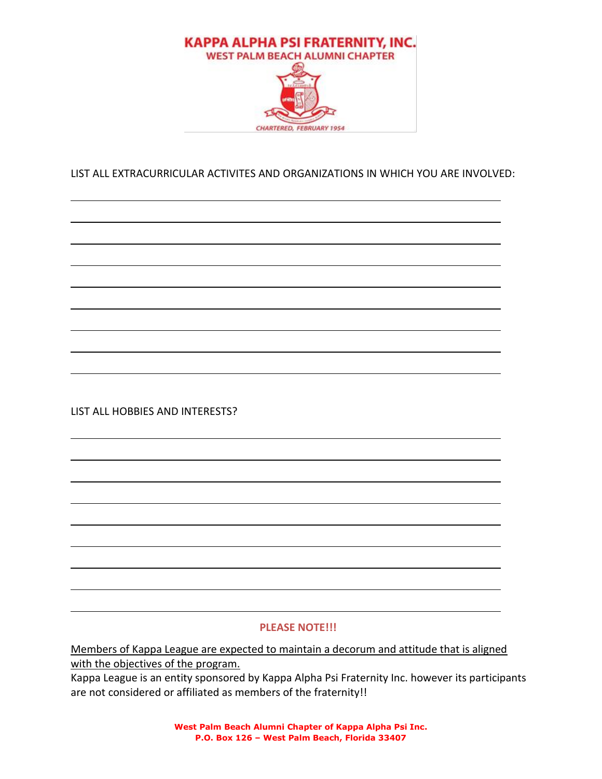

#### LIST ALL EXTRACURRICULAR ACTIVITES AND ORGANIZATIONS IN WHICH YOU ARE INVOLVED:

LIST ALL HOBBIES AND INTERESTS?

#### **PLEASE NOTE!!!**

Members of Kappa League are expected to maintain a decorum and attitude that is aligned with the objectives of the program.

Kappa League is an entity sponsored by Kappa Alpha Psi Fraternity Inc. however its participants are not considered or affiliated as members of the fraternity!!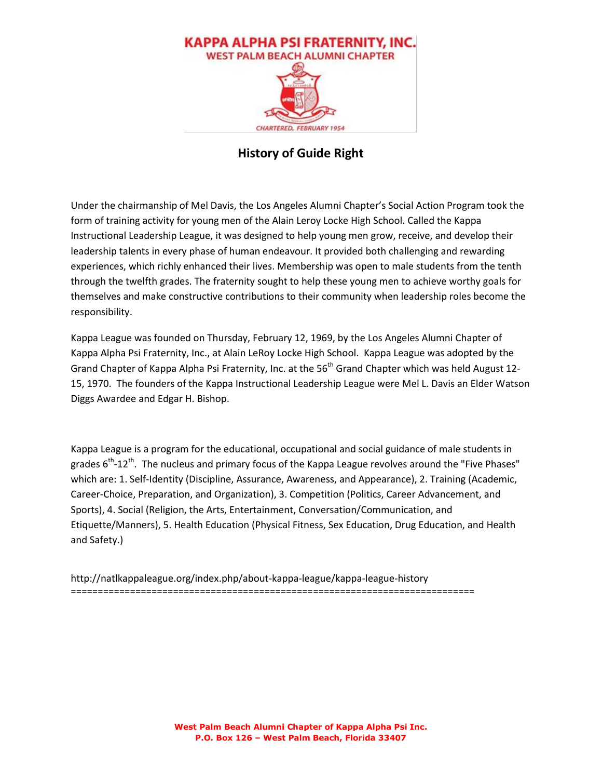

### **History of Guide Right**

Under the chairmanship of Mel Davis, the Los Angeles Alumni Chapter's Social Action Program took the form of training activity for young men of the Alain Leroy Locke High School. Called the Kappa Instructional Leadership League, it was designed to help young men grow, receive, and develop their leadership talents in every phase of human endeavour. It provided both challenging and rewarding experiences, which richly enhanced their lives. Membership was open to male students from the tenth through the twelfth grades. The fraternity sought to help these young men to achieve worthy goals for themselves and make constructive contributions to their community when leadership roles become the responsibility.

Kappa League was founded on Thursday, February 12, 1969, by the Los Angeles Alumni Chapter of Kappa Alpha Psi Fraternity, Inc., at Alain LeRoy Locke High School. Kappa League was adopted by the Grand Chapter of Kappa Alpha Psi Fraternity, Inc. at the 56<sup>th</sup> Grand Chapter which was held August 12-15, 1970. The founders of the Kappa Instructional Leadership League were Mel L. Davis an Elder Watson Diggs Awardee and Edgar H. Bishop.

Kappa League is a program for the educational, occupational and social guidance of male students in grades 6<sup>th</sup>-12<sup>th</sup>. The nucleus and primary focus of the Kappa League revolves around the "Five Phases" which are: 1. Self-Identity (Discipline, Assurance, Awareness, and Appearance), 2. Training (Academic, Career-Choice, Preparation, and Organization), 3. Competition (Politics, Career Advancement, and Sports), 4. Social (Religion, the Arts, Entertainment, Conversation/Communication, and Etiquette/Manners), 5. Health Education (Physical Fitness, Sex Education, Drug Education, and Health and Safety.)

http://natlkappaleague.org/index.php/about-kappa-league/kappa-league-history ===========================================================================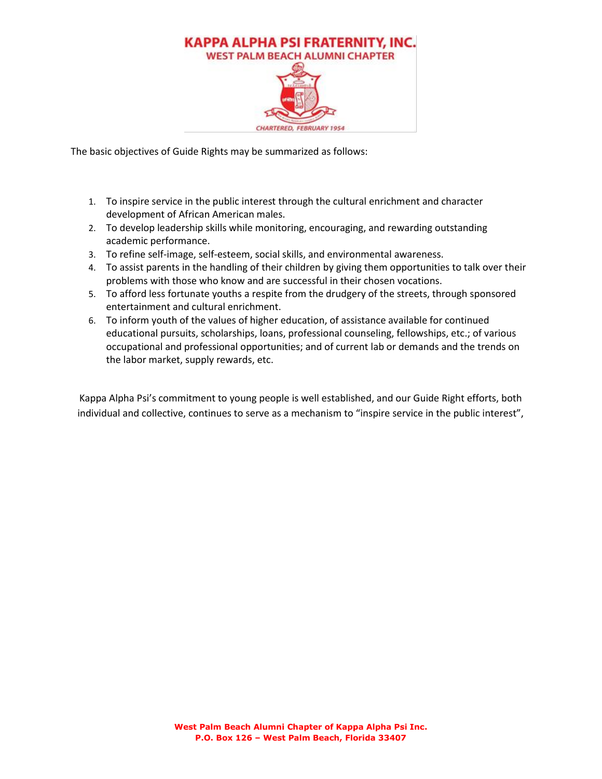

The basic objectives of Guide Rights may be summarized as follows:

- 1. To inspire service in the public interest through the cultural enrichment and character development of African American males.
- 2. To develop leadership skills while monitoring, encouraging, and rewarding outstanding academic performance.
- 3. To refine self-image, self-esteem, social skills, and environmental awareness.
- 4. To assist parents in the handling of their children by giving them opportunities to talk over their problems with those who know and are successful in their chosen vocations.
- 5. To afford less fortunate youths a respite from the drudgery of the streets, through sponsored entertainment and cultural enrichment.
- 6. To inform youth of the values of higher education, of assistance available for continued educational pursuits, scholarships, loans, professional counseling, fellowships, etc.; of various occupational and professional opportunities; and of current lab or demands and the trends on the labor market, supply rewards, etc.

Kappa Alpha Psi's commitment to young people is well established, and our Guide Right efforts, both individual and collective, continues to serve as a mechanism to "inspire service in the public interest",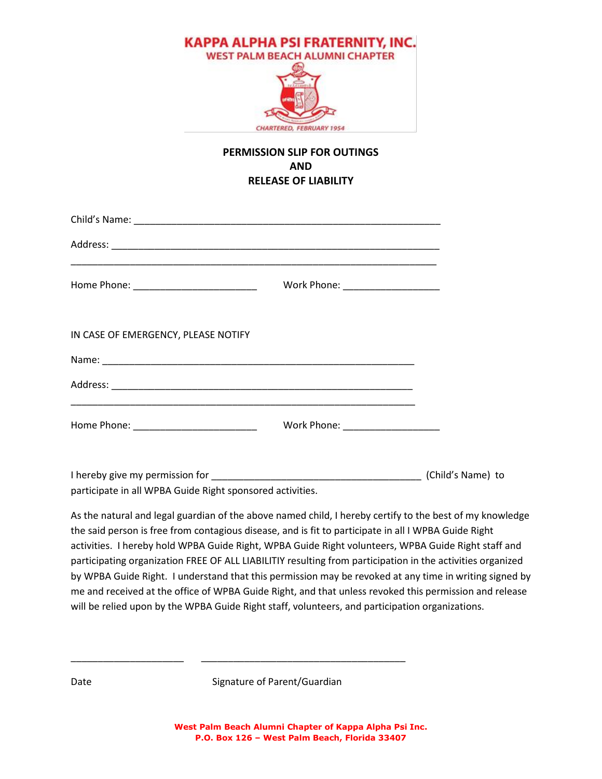

#### **PERMISSION SLIP FOR OUTINGS AND RELEASE OF LIABILITY**

|                                                                                                          | Work Phone: _____________________ |  |
|----------------------------------------------------------------------------------------------------------|-----------------------------------|--|
| IN CASE OF EMERGENCY, PLEASE NOTIFY                                                                      |                                   |  |
|                                                                                                          |                                   |  |
|                                                                                                          |                                   |  |
|                                                                                                          |                                   |  |
|                                                                                                          |                                   |  |
| participate in all WPBA Guide Right sponsored activities.                                                |                                   |  |
| As the natural and legal guardian of the above named child, I hereby certify to the best of my knowledge |                                   |  |
| the said nerson is free from sentagious disease, and is fit to narticipate in all LMDRA Guide Bight      |                                   |  |

the said person is free from contagious disease, and is fit to participate in all I WPBA Guide Right activities. I hereby hold WPBA Guide Right, WPBA Guide Right volunteers, WPBA Guide Right staff and participating organization FREE OF ALL LIABILITIY resulting from participation in the activities organized by WPBA Guide Right. I understand that this permission may be revoked at any time in writing signed by me and received at the office of WPBA Guide Right, and that unless revoked this permission and release will be relied upon by the WPBA Guide Right staff, volunteers, and participation organizations.

Date Signature of Parent/Guardian

\_\_\_\_\_\_\_\_\_\_\_\_\_\_\_\_\_\_\_\_\_ \_\_\_\_\_\_\_\_\_\_\_\_\_\_\_\_\_\_\_\_\_\_\_\_\_\_\_\_\_\_\_\_\_\_\_\_\_\_

**West Palm Beach Alumni Chapter of Kappa Alpha Psi Inc. P.O. Box 126 – West Palm Beach, Florida 33407**